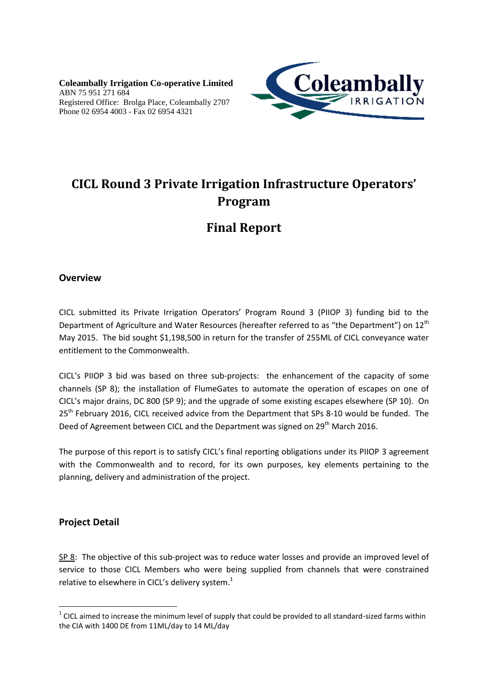**Coleambally Irrigation Co-operative Limited** ABN 75 951 271 684 Registered Office: Brolga Place, Coleambally 2707 Phone 02 6954 4003 - Fax 02 6954 4321



# **CICL Round 3 Private Irrigation Infrastructure Operators' Program**

# **Final Report**

### **Overview**

CICL submitted its Private Irrigation Operators' Program Round 3 (PIIOP 3) funding bid to the Department of Agriculture and Water Resources (hereafter referred to as "the Department") on 12<sup>th</sup> May 2015. The bid sought \$1,198,500 in return for the transfer of 255ML of CICL conveyance water entitlement to the Commonwealth.

CICL's PIIOP 3 bid was based on three sub-projects: the enhancement of the capacity of some channels (SP 8); the installation of FlumeGates to automate the operation of escapes on one of CICL's major drains, DC 800 (SP 9); and the upgrade of some existing escapes elsewhere (SP 10). On 25<sup>th</sup> February 2016, CICL received advice from the Department that SPs 8-10 would be funded. The Deed of Agreement between CICL and the Department was signed on 29<sup>th</sup> March 2016.

The purpose of this report is to satisfy CICL's final reporting obligations under its PIIOP 3 agreement with the Commonwealth and to record, for its own purposes, key elements pertaining to the planning, delivery and administration of the project.

### **Project Detail**

**.** 

SP 8: The objective of this sub-project was to reduce water losses and provide an improved level of service to those CICL Members who were being supplied from channels that were constrained relative to elsewhere in CICL's delivery system. $^1$ 

 $1$  CICL aimed to increase the minimum level of supply that could be provided to all standard-sized farms within the CIA with 1400 DE from 11ML/day to 14 ML/day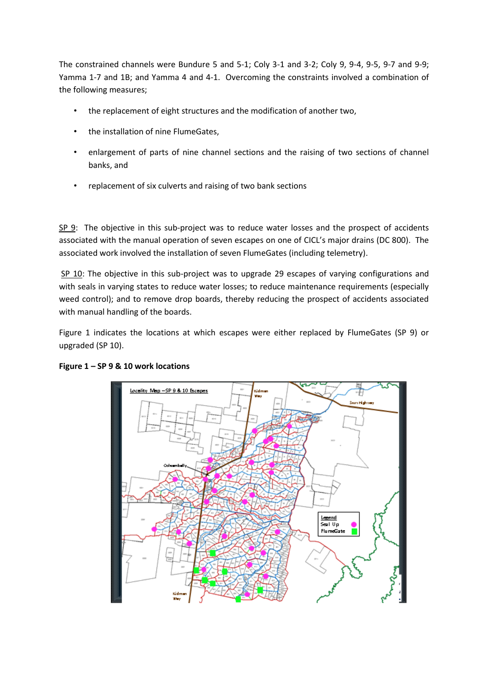The constrained channels were Bundure 5 and 5-1; Coly 3-1 and 3-2; Coly 9, 9-4, 9-5, 9-7 and 9-9; Yamma 1-7 and 1B; and Yamma 4 and 4-1. Overcoming the constraints involved a combination of the following measures;

- the replacement of eight structures and the modification of another two,
- the installation of nine FlumeGates,
- enlargement of parts of nine channel sections and the raising of two sections of channel banks, and
- replacement of six culverts and raising of two bank sections

SP 9: The objective in this sub-project was to reduce water losses and the prospect of accidents associated with the manual operation of seven escapes on one of CICL's major drains (DC 800). The associated work involved the installation of seven FlumeGates (including telemetry).

SP 10: The objective in this sub-project was to upgrade 29 escapes of varying configurations and with seals in varying states to reduce water losses; to reduce maintenance requirements (especially weed control); and to remove drop boards, thereby reducing the prospect of accidents associated with manual handling of the boards.

Figure 1 indicates the locations at which escapes were either replaced by FlumeGates (SP 9) or upgraded (SP 10).



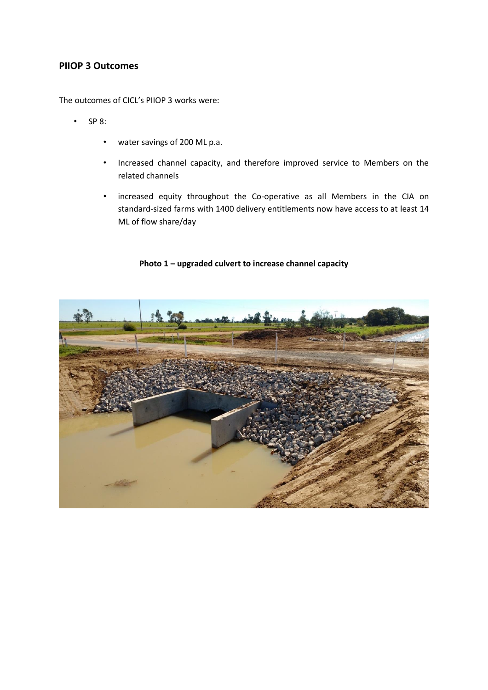#### **PIIOP 3 Outcomes**

The outcomes of CICL's PIIOP 3 works were:

- SP 8:
	- water savings of 200 ML p.a.
	- Increased channel capacity, and therefore improved service to Members on the related channels
	- increased equity throughout the Co-operative as all Members in the CIA on standard-sized farms with 1400 delivery entitlements now have access to at least 14 ML of flow share/day

#### **Photo 1 – upgraded culvert to increase channel capacity**

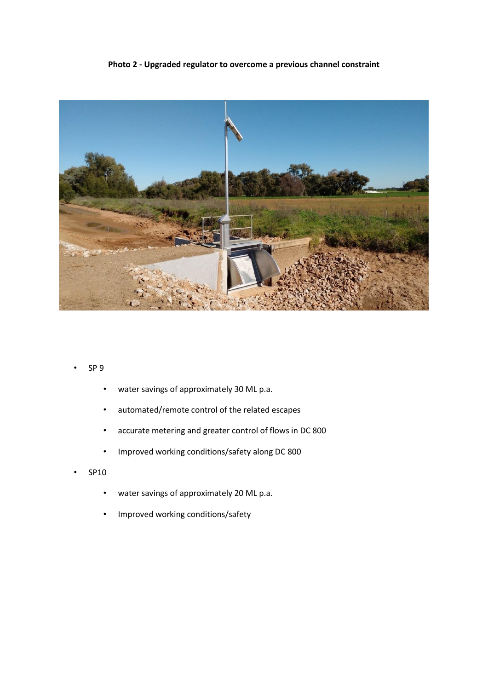#### **Photo 2 - Upgraded regulator to overcome a previous channel constraint**



- SP 9
	- water savings of approximately 30 ML p.a.
	- automated/remote control of the related escapes
	- accurate metering and greater control of flows in DC 800
	- Improved working conditions/safety along DC 800
- SP10
	- water savings of approximately 20 ML p.a.
	- Improved working conditions/safety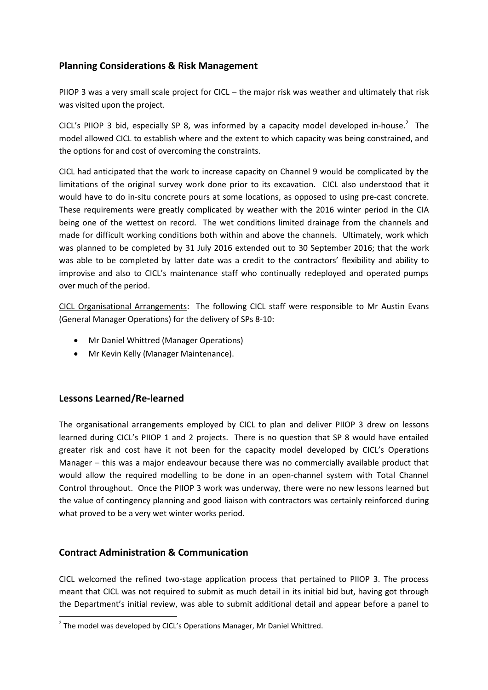### **Planning Considerations & Risk Management**

PIIOP 3 was a very small scale project for CICL – the major risk was weather and ultimately that risk was visited upon the project.

CICL's PIIOP 3 bid, especially SP 8, was informed by a capacity model developed in-house.<sup>2</sup> The model allowed CICL to establish where and the extent to which capacity was being constrained, and the options for and cost of overcoming the constraints.

CICL had anticipated that the work to increase capacity on Channel 9 would be complicated by the limitations of the original survey work done prior to its excavation. CICL also understood that it would have to do in-situ concrete pours at some locations, as opposed to using pre-cast concrete. These requirements were greatly complicated by weather with the 2016 winter period in the CIA being one of the wettest on record. The wet conditions limited drainage from the channels and made for difficult working conditions both within and above the channels. Ultimately, work which was planned to be completed by 31 July 2016 extended out to 30 September 2016; that the work was able to be completed by latter date was a credit to the contractors' flexibility and ability to improvise and also to CICL's maintenance staff who continually redeployed and operated pumps over much of the period.

CICL Organisational Arrangements: The following CICL staff were responsible to Mr Austin Evans (General Manager Operations) for the delivery of SPs 8-10:

- Mr Daniel Whittred (Manager Operations)
- Mr Kevin Kelly (Manager Maintenance).

### **Lessons Learned/Re-learned**

**.** 

The organisational arrangements employed by CICL to plan and deliver PIIOP 3 drew on lessons learned during CICL's PIIOP 1 and 2 projects. There is no question that SP 8 would have entailed greater risk and cost have it not been for the capacity model developed by CICL's Operations Manager – this was a major endeavour because there was no commercially available product that would allow the required modelling to be done in an open-channel system with Total Channel Control throughout. Once the PIIOP 3 work was underway, there were no new lessons learned but the value of contingency planning and good liaison with contractors was certainly reinforced during what proved to be a very wet winter works period.

### **Contract Administration & Communication**

CICL welcomed the refined two-stage application process that pertained to PIIOP 3. The process meant that CICL was not required to submit as much detail in its initial bid but, having got through the Department's initial review, was able to submit additional detail and appear before a panel to

 $2$  The model was developed by CICL's Operations Manager, Mr Daniel Whittred.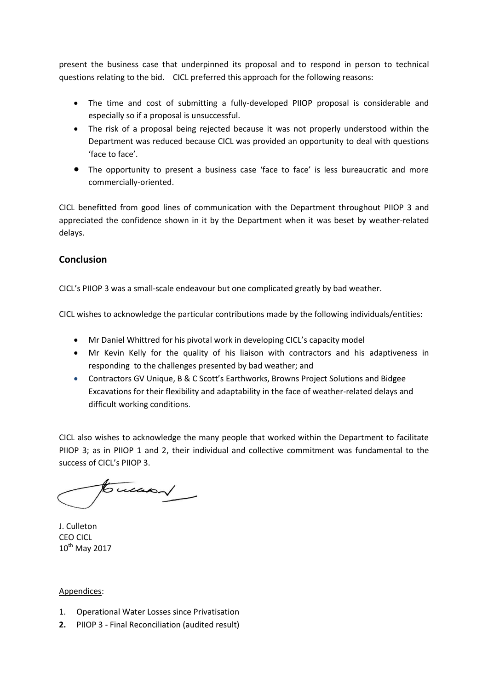present the business case that underpinned its proposal and to respond in person to technical questions relating to the bid. CICL preferred this approach for the following reasons:

- The time and cost of submitting a fully-developed PIIOP proposal is considerable and especially so if a proposal is unsuccessful.
- The risk of a proposal being rejected because it was not properly understood within the Department was reduced because CICL was provided an opportunity to deal with questions 'face to face'.
- The opportunity to present a business case 'face to face' is less bureaucratic and more commercially-oriented.

CICL benefitted from good lines of communication with the Department throughout PIIOP 3 and appreciated the confidence shown in it by the Department when it was beset by weather-related delays.

## **Conclusion**

CICL's PIIOP 3 was a small-scale endeavour but one complicated greatly by bad weather.

CICL wishes to acknowledge the particular contributions made by the following individuals/entities:

- Mr Daniel Whittred for his pivotal work in developing CICL's capacity model
- Mr Kevin Kelly for the quality of his liaison with contractors and his adaptiveness in responding to the challenges presented by bad weather; and
- Contractors GV Unique, B & C Scott's Earthworks, Browns Project Solutions and Bidgee Excavations for their flexibility and adaptability in the face of weather-related delays and difficult working conditions.

CICL also wishes to acknowledge the many people that worked within the Department to facilitate PIIOP 3; as in PIIOP 1 and 2, their individual and collective commitment was fundamental to the success of CICL's PIIOP 3.

 $5 - 4$ 

J. Culleton CEO CICL  $10^{th}$  May 2017

#### Appendices:

- 1. Operational Water Losses since Privatisation
- **2.** PIIOP 3 Final Reconciliation (audited result)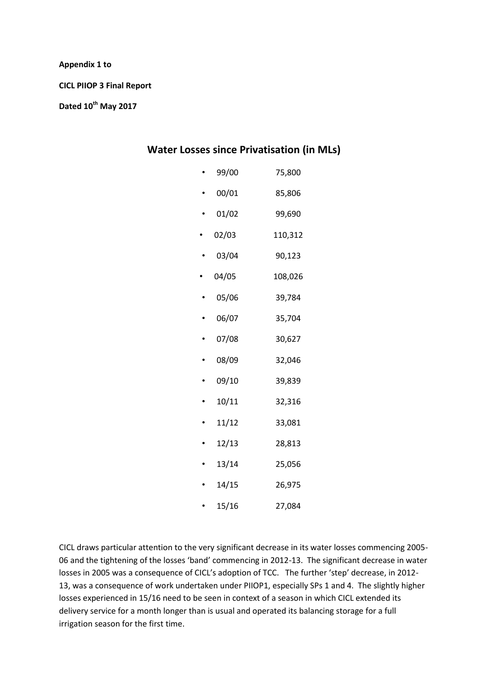#### **Appendix 1 to**

**CICL PIIOP 3 Final Report**

**Dated 10th May 2017**

## **Water Losses since Privatisation (in MLs)**

| 99/00 | 75,800  |
|-------|---------|
| 00/01 | 85,806  |
| 01/02 | 99,690  |
| 02/03 | 110,312 |
| 03/04 | 90,123  |
| 04/05 | 108,026 |
| 05/06 | 39,784  |
| 06/07 | 35,704  |
| 07/08 | 30,627  |
| 08/09 | 32,046  |
| 09/10 | 39,839  |
| 10/11 | 32,316  |
| 11/12 | 33,081  |
| 12/13 | 28,813  |
| 13/14 | 25,056  |
| 14/15 | 26,975  |
| 15/16 | 27,084  |

CICL draws particular attention to the very significant decrease in its water losses commencing 2005- 06 and the tightening of the losses 'band' commencing in 2012-13. The significant decrease in water losses in 2005 was a consequence of CICL's adoption of TCC. The further 'step' decrease, in 2012- 13, was a consequence of work undertaken under PIIOP1, especially SPs 1 and 4. The slightly higher losses experienced in 15/16 need to be seen in context of a season in which CICL extended its delivery service for a month longer than is usual and operated its balancing storage for a full irrigation season for the first time.